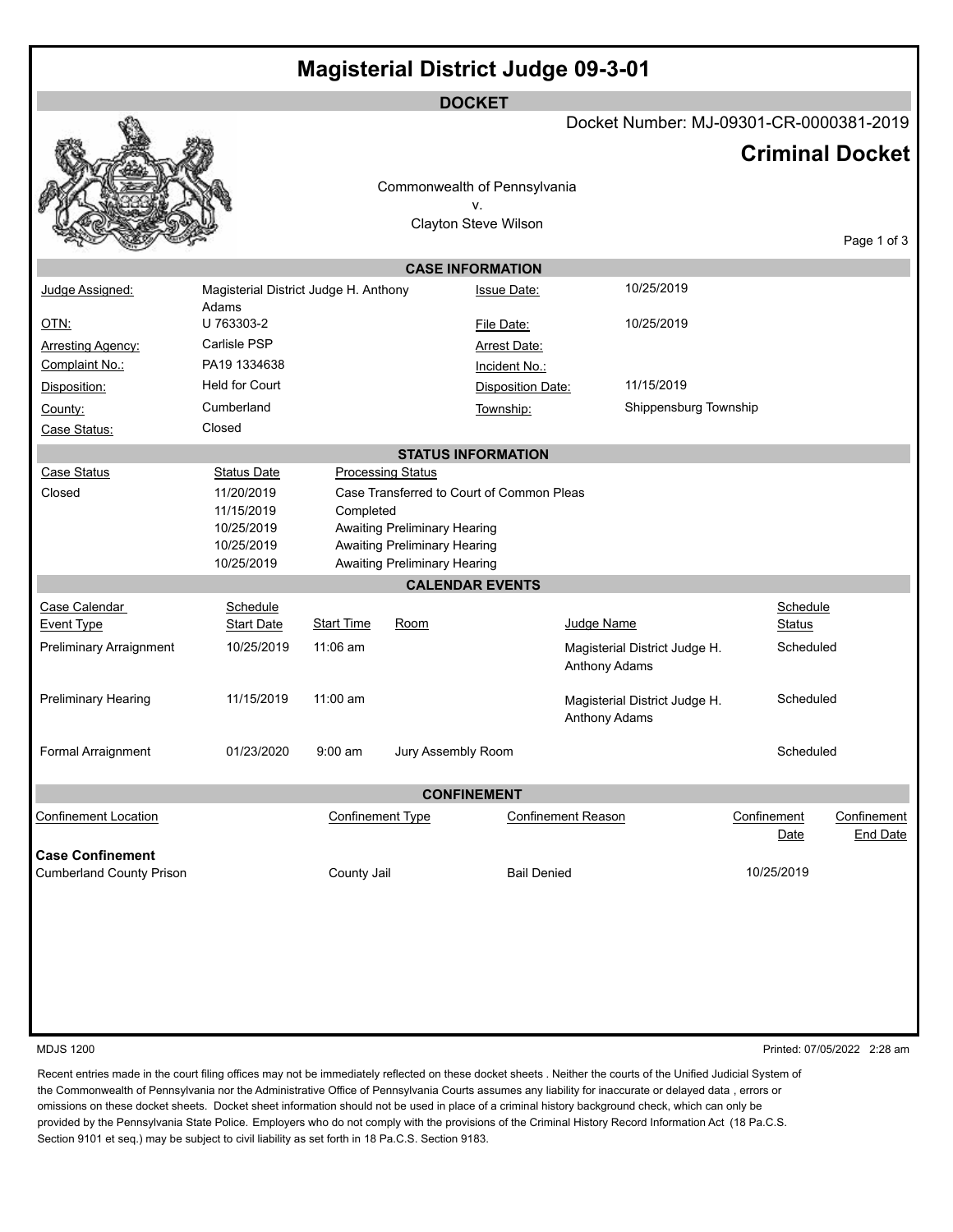|                                            |                                       |                         |                                                              | <b>DOCKET</b>                             |                           |                               |                                         |                        |
|--------------------------------------------|---------------------------------------|-------------------------|--------------------------------------------------------------|-------------------------------------------|---------------------------|-------------------------------|-----------------------------------------|------------------------|
|                                            |                                       |                         |                                                              |                                           |                           |                               | Docket Number: MJ-09301-CR-0000381-2019 |                        |
|                                            |                                       |                         |                                                              |                                           |                           |                               |                                         | <b>Criminal Docket</b> |
|                                            |                                       |                         |                                                              |                                           |                           |                               |                                         |                        |
|                                            |                                       |                         |                                                              | Commonwealth of Pennsylvania<br>v.        |                           |                               |                                         |                        |
|                                            |                                       |                         |                                                              | Clayton Steve Wilson                      |                           |                               |                                         |                        |
|                                            |                                       |                         |                                                              |                                           |                           |                               |                                         | Page 1 of 3            |
|                                            |                                       |                         |                                                              | <b>CASE INFORMATION</b>                   |                           |                               |                                         |                        |
| Judge Assigned:                            | Magisterial District Judge H. Anthony |                         |                                                              | <b>Issue Date:</b>                        |                           | 10/25/2019                    |                                         |                        |
|                                            | Adams<br>U 763303-2                   |                         |                                                              |                                           |                           | 10/25/2019                    |                                         |                        |
| <u>OTN:</u>                                | Carlisle PSP                          |                         |                                                              | File Date:                                |                           |                               |                                         |                        |
| <b>Arresting Agency:</b><br>Complaint No.: | PA19 1334638                          |                         |                                                              | <b>Arrest Date:</b><br>Incident No.:      |                           |                               |                                         |                        |
| Disposition:                               | <b>Held for Court</b>                 |                         |                                                              | <b>Disposition Date:</b>                  |                           | 11/15/2019                    |                                         |                        |
| County:                                    | Cumberland                            |                         |                                                              | Township:                                 |                           | Shippensburg Township         |                                         |                        |
| Case Status:                               | Closed                                |                         |                                                              |                                           |                           |                               |                                         |                        |
|                                            |                                       |                         |                                                              | <b>STATUS INFORMATION</b>                 |                           |                               |                                         |                        |
| Case Status                                | <b>Status Date</b>                    |                         | <b>Processing Status</b>                                     |                                           |                           |                               |                                         |                        |
| Closed                                     | 11/20/2019                            |                         |                                                              | Case Transferred to Court of Common Pleas |                           |                               |                                         |                        |
|                                            | 11/15/2019                            | Completed               |                                                              |                                           |                           |                               |                                         |                        |
|                                            | 10/25/2019                            |                         | Awaiting Preliminary Hearing                                 |                                           |                           |                               |                                         |                        |
|                                            | 10/25/2019<br>10/25/2019              |                         | Awaiting Preliminary Hearing<br>Awaiting Preliminary Hearing |                                           |                           |                               |                                         |                        |
|                                            |                                       |                         |                                                              | <b>CALENDAR EVENTS</b>                    |                           |                               |                                         |                        |
|                                            |                                       |                         |                                                              |                                           |                           |                               |                                         |                        |
| Case Calendar<br><b>Event Type</b>         | Schedule<br><b>Start Date</b>         | <b>Start Time</b>       | Room                                                         |                                           | Judge Name                |                               | Schedule<br><b>Status</b>               |                        |
| <b>Preliminary Arraignment</b>             | 10/25/2019                            | $11:06$ am              |                                                              |                                           |                           | Magisterial District Judge H. | Scheduled                               |                        |
|                                            |                                       |                         |                                                              |                                           | <b>Anthony Adams</b>      |                               |                                         |                        |
|                                            |                                       |                         |                                                              |                                           |                           |                               |                                         |                        |
| Preliminary Hearing                        | 11/15/2019                            | 11:00 am                |                                                              |                                           |                           | Magisterial District Judge H. | Scheduled                               |                        |
|                                            |                                       |                         |                                                              |                                           | Anthony Adams             |                               |                                         |                        |
| Formal Arraignment                         | 01/23/2020                            | $9:00$ am               | Jury Assembly Room                                           |                                           |                           |                               | Scheduled                               |                        |
|                                            |                                       |                         |                                                              |                                           |                           |                               |                                         |                        |
|                                            |                                       |                         |                                                              | <b>CONFINEMENT</b>                        |                           |                               |                                         |                        |
| <b>Confinement Location</b>                |                                       | <b>Confinement Type</b> |                                                              |                                           | <b>Confinement Reason</b> |                               | Confinement                             | Confinement            |
|                                            |                                       |                         |                                                              |                                           |                           |                               | Date                                    | <b>End Date</b>        |
| <b>Case Confinement</b>                    |                                       |                         |                                                              |                                           |                           |                               |                                         |                        |
| <b>Cumberland County Prison</b>            |                                       | County Jail             |                                                              | <b>Bail Denied</b>                        |                           |                               | 10/25/2019                              |                        |
|                                            |                                       |                         |                                                              |                                           |                           |                               |                                         |                        |
|                                            |                                       |                         |                                                              |                                           |                           |                               |                                         |                        |
|                                            |                                       |                         |                                                              |                                           |                           |                               |                                         |                        |
|                                            |                                       |                         |                                                              |                                           |                           |                               |                                         |                        |
|                                            |                                       |                         |                                                              |                                           |                           |                               |                                         |                        |
|                                            |                                       |                         |                                                              |                                           |                           |                               |                                         |                        |

MDJS 1200 Printed: 07/05/2022 2:28 am

Recent entries made in the court filing offices may not be immediately reflected on these docket sheets . Neither the courts of the Unified Judicial System of the Commonwealth of Pennsylvania nor the Administrative Office of Pennsylvania Courts assumes any liability for inaccurate or delayed data , errors or omissions on these docket sheets. Docket sheet information should not be used in place of a criminal history background check, which can only be provided by the Pennsylvania State Police. Employers who do not comply with the provisions of the Criminal History Record Information Act (18 Pa.C.S. Section 9101 et seq.) may be subject to civil liability as set forth in 18 Pa.C.S. Section 9183.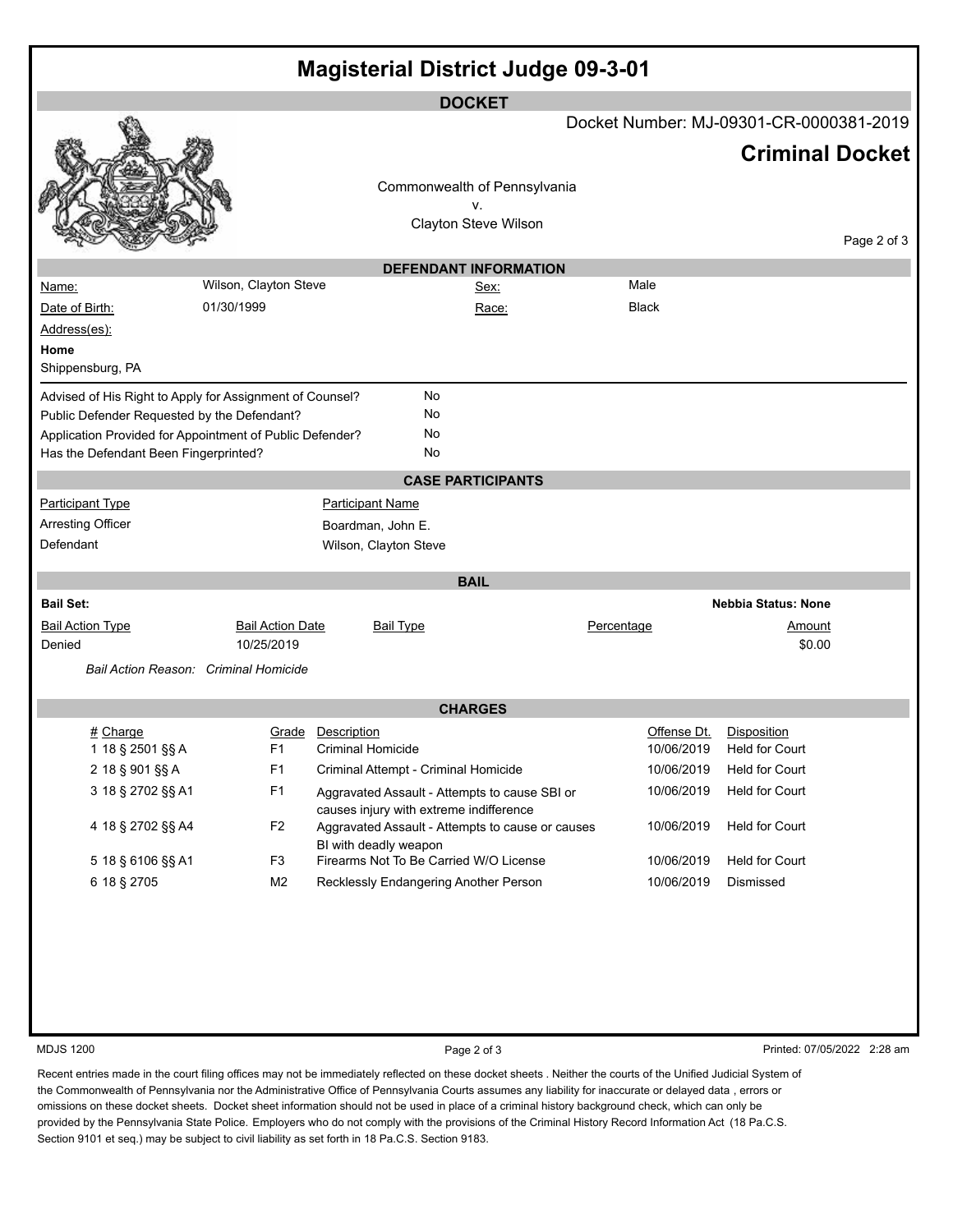| <b>Magisterial District Judge 09-3-01</b>                                                                                                                      |                                       |                                  |                                                  |            |              |                                             |                             |
|----------------------------------------------------------------------------------------------------------------------------------------------------------------|---------------------------------------|----------------------------------|--------------------------------------------------|------------|--------------|---------------------------------------------|-----------------------------|
|                                                                                                                                                                |                                       |                                  | <b>DOCKET</b>                                    |            |              |                                             |                             |
|                                                                                                                                                                |                                       |                                  |                                                  |            |              | Docket Number: MJ-09301-CR-0000381-2019     |                             |
|                                                                                                                                                                |                                       |                                  |                                                  |            |              | <b>Criminal Docket</b>                      |                             |
|                                                                                                                                                                |                                       |                                  | Commonwealth of Pennsylvania                     |            |              |                                             |                             |
|                                                                                                                                                                |                                       |                                  | ٧.                                               |            |              |                                             |                             |
|                                                                                                                                                                |                                       |                                  | Clayton Steve Wilson                             |            |              |                                             | Page 2 of 3                 |
|                                                                                                                                                                |                                       |                                  | <b>DEFENDANT INFORMATION</b>                     |            |              |                                             |                             |
| Name:                                                                                                                                                          | Wilson, Clayton Steve                 |                                  | <u>Sex:</u>                                      |            | Male         |                                             |                             |
| Date of Birth:                                                                                                                                                 | 01/30/1999                            |                                  | Race:                                            |            | <b>Black</b> |                                             |                             |
| Address(es):                                                                                                                                                   |                                       |                                  |                                                  |            |              |                                             |                             |
| Home                                                                                                                                                           |                                       |                                  |                                                  |            |              |                                             |                             |
| Shippensburg, PA                                                                                                                                               |                                       |                                  |                                                  |            |              |                                             |                             |
| Advised of His Right to Apply for Assignment of Counsel?                                                                                                       |                                       |                                  | No                                               |            |              |                                             |                             |
| Public Defender Requested by the Defendant?                                                                                                                    |                                       |                                  | No                                               |            |              |                                             |                             |
| Application Provided for Appointment of Public Defender?                                                                                                       |                                       |                                  | No                                               |            |              |                                             |                             |
| Has the Defendant Been Fingerprinted?                                                                                                                          |                                       |                                  | No                                               |            |              |                                             |                             |
|                                                                                                                                                                |                                       |                                  | <b>CASE PARTICIPANTS</b>                         |            |              |                                             |                             |
| <b>Participant Type</b>                                                                                                                                        |                                       | <b>Participant Name</b>          |                                                  |            |              |                                             |                             |
| <b>Arresting Officer</b>                                                                                                                                       |                                       | Boardman, John E.                |                                                  |            |              |                                             |                             |
| Defendant                                                                                                                                                      |                                       | Wilson, Clayton Steve            |                                                  |            |              |                                             |                             |
|                                                                                                                                                                |                                       |                                  | <b>BAIL</b>                                      |            |              |                                             |                             |
| <b>Bail Set:</b>                                                                                                                                               |                                       |                                  |                                                  |            |              | <b>Nebbia Status: None</b>                  |                             |
| <b>Bail Action Type</b><br>Denied                                                                                                                              | <b>Bail Action Date</b><br>10/25/2019 | <b>Bail Type</b>                 |                                                  | Percentage |              | <u>Amount</u><br>\$0.00                     |                             |
| Bail Action Reason: Criminal Homicide                                                                                                                          |                                       |                                  |                                                  |            |              |                                             |                             |
|                                                                                                                                                                |                                       |                                  |                                                  |            |              |                                             |                             |
|                                                                                                                                                                |                                       |                                  | <b>CHARGES</b>                                   |            |              |                                             |                             |
| # Charge<br>1 18 § 2501 §§ A                                                                                                                                   | Grade<br>F <sub>1</sub>               | Description<br>Criminal Homicide |                                                  |            | Offense Dt.  | Disposition<br>10/06/2019    Held for Court |                             |
| 2 18 § 901 §§ A                                                                                                                                                | F <sub>1</sub>                        |                                  | Criminal Attempt - Criminal Homicide             |            | 10/06/2019   | Held for Court                              |                             |
| 3 18 § 2702 §§ A1                                                                                                                                              | F <sub>1</sub>                        |                                  | Aggravated Assault - Attempts to cause SBI or    |            | 10/06/2019   | Held for Court                              |                             |
|                                                                                                                                                                |                                       |                                  | causes injury with extreme indifference          |            |              |                                             |                             |
| 4 18 § 2702 §§ A4                                                                                                                                              | F <sub>2</sub>                        | BI with deadly weapon            | Aggravated Assault - Attempts to cause or causes |            | 10/06/2019   | Held for Court                              |                             |
| 5 18 § 6106 §§ A1                                                                                                                                              | F <sub>3</sub>                        |                                  | Firearms Not To Be Carried W/O License           |            | 10/06/2019   | Held for Court                              |                             |
| 6 18 § 2705                                                                                                                                                    | M <sub>2</sub>                        |                                  | Recklessly Endangering Another Person            |            | 10/06/2019   | Dismissed                                   |                             |
|                                                                                                                                                                |                                       |                                  |                                                  |            |              |                                             |                             |
|                                                                                                                                                                |                                       |                                  |                                                  |            |              |                                             |                             |
|                                                                                                                                                                |                                       |                                  |                                                  |            |              |                                             |                             |
|                                                                                                                                                                |                                       |                                  |                                                  |            |              |                                             |                             |
|                                                                                                                                                                |                                       |                                  |                                                  |            |              |                                             |                             |
|                                                                                                                                                                |                                       |                                  |                                                  |            |              |                                             |                             |
| <b>MDJS 1200</b>                                                                                                                                               |                                       |                                  | Page 2 of 3                                      |            |              |                                             | Printed: 07/05/2022 2:28 am |
| Recent entries made in the court filing offices may not be immediately reflected on these docket sheets . Neither the courts of the Unified Judicial System of |                                       |                                  |                                                  |            |              |                                             |                             |

the Commonwealth of Pennsylvania nor the Administrative Office of Pennsylvania Courts assumes any liability for inaccurate or delayed data , errors or omissions on these docket sheets. Docket sheet information should not be used in place of a criminal history background check, which can only be provided by the Pennsylvania State Police. Employers who do not comply with the provisions of the Criminal History Record Information Act (18 Pa.C.S. Section 9101 et seq.) may be subject to civil liability as set forth in 18 Pa.C.S. Section 9183.